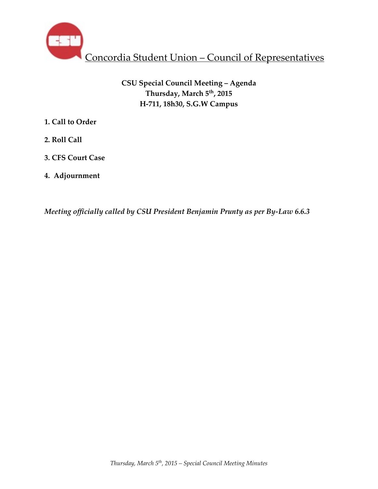

# **CSU Special Council Meeting – Agenda Thursday, March 5th, 2015 H-711, 18h30, S.G.W Campus**

- **1. Call to Order**
- **2. Roll Call**
- **3. CFS Court Case**
- **4. Adjournment**

*Meeting officially called by CSU President Benjamin Prunty as per By-Law 6.6.3*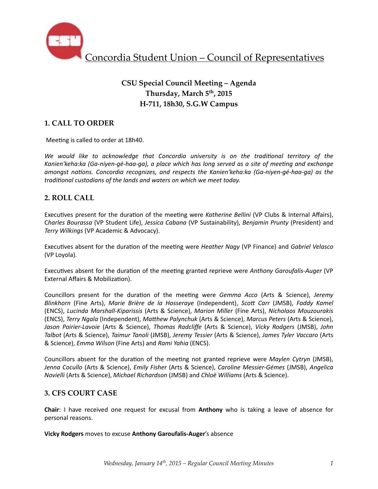

# **CSU Special Council Meeting – Agenda Thursday, March 5th, 2015 H-711, 18h30, S.G.W Campus**

## **1. CALL TO ORDER**

Meeting is called to order at 18h40.

We would like to acknowledge that Concordia university is on the traditional territory of the Kanien'keha:ka (Ga-niyen-gé-haa-ga), a place which has long served as a site of meeting and exchange *amongst nations. Concordia recognizes, and respects the Kanien'keha:ka (Ga-niyen-gé-haa-ga)* as the traditional custodians of the lands and waters on which we meet today.

## **2. ROLL CALL**

Executives present for the duration of the meeting were *Katherine Bellini* (VP Clubs & Internal Affairs), C*harles Bourassa* (VP Student Life), *Jessica Cabana* (VP Sustainability), *Benjamin Prunty* (President) and **Terry Wilkings (VP Academic & Advocacy).** 

Executives absent for the duration of the meeting were *Heather Nagy* (VP Finance) and *Gabriel Velasco* (VP Loyola).

Executives absent for the duration of the meeting granted reprieve were Anthony Garoufalis-Auger (VP External Affairs & Mobilization).

Councillors present for the duration of the meeting were *Gemma Acco* (Arts & Science), Jeremy *Blinkhorn* (Fine Arts), *Marie Brière de la Hosseraye* (Independent), *Scott Carr* (JMSB), *Faddy Kamel* (ENCS), *Lucinda Marshall-Kiparissis* (Arts & Science), *Marion Miller* (Fine Arts), *Nicholaos Mouzourakis*  (ENCS), *Terry Ngala* (Independent), *Matthew Palynchuk* (Arts & Science), *Marcus Peters* (Arts & Science), *Jason Poirier-Lavoie* (Arts & Science), *Thomas Radcliffe*  (Arts & Science), *Vicky Rodgers*  (JMSB), *John Talbot* (Arts & Science), *Taimur Tanoli* (JMSB), *Jeremy Tessier* (Arts & Science), *James Tyler Vaccaro* (Arts & Science), *Emma Wilson* (Fine Arts) and *Rami Yahia* (ENCS). 

Councillors absent for the duration of the meeting not granted reprieve were *Maylen Cytryn* (JMSB), *Jenna Cocullo* (Arts & Science), *Emily Fisher* (Arts & Science), *Caroline Messier-Gémes* (JMSB), *Angelica Novielli* (Arts & Science), *Michael Richardson* (JMSB) and *Chloë Williams* (Arts & Science).

## **3. CFS COURT CASE**

**Chair**: I have received one request for excusal from **Anthony** who is taking a leave of absence for personal reasons.

**Vicky Rodgers** moves to excuse Anthony Garoufalis-Auger's absence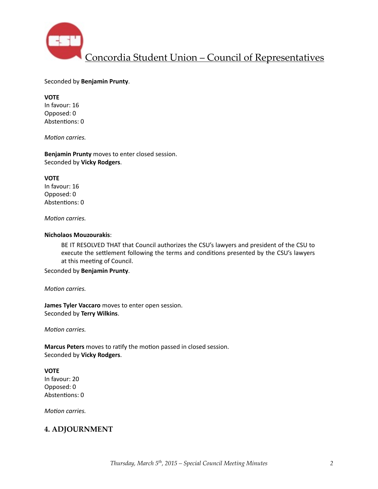

#### Seconded by **Benjamin Prunty**.

#### **VOTE**

In favour: 16 Opposed: 0 Abstentions: 0

*Motion carries.* 

**Benjamin Prunty** moves to enter closed session. Seconded by **Vicky Rodgers**. 

#### **VOTE**

In favour: 16 Opposed: 0 Abstentions: 0

*Motion carries.* 

#### **Nicholaos Mouzourakis**:

BE IT RESOLVED THAT that Council authorizes the CSU's lawyers and president of the CSU to execute the settlement following the terms and conditions presented by the CSU's lawyers at this meeting of Council.

Seconded by **Benjamin Prunty**. 

*Motion carries.* 

**James Tyler Vaccaro** moves to enter open session. Seconded by **Terry Wilkins**.

*Motion carries.* 

**Marcus Peters** moves to ratify the motion passed in closed session. Seconded by **Vicky Rodgers**. 

#### **VOTE**

In favour: 20 Opposed: 0 Abstentions: 0

*Motion carries.* 

## **4. ADJOURNMENT**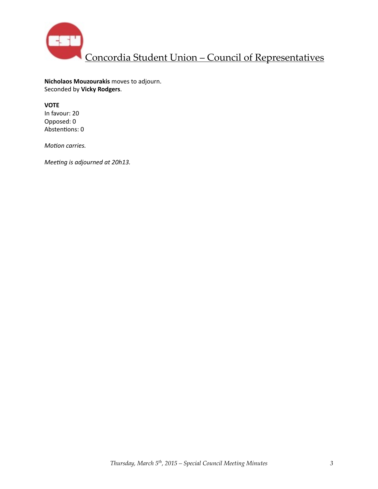

**Nicholaos Mouzourakis** moves to adjourn. Seconded by **Vicky Rodgers**. 

### **VOTE**

In favour: 20 Opposed: 0 Abstentions: 0

*Motion carries.* 

*Meeting is adjourned at 20h13.*